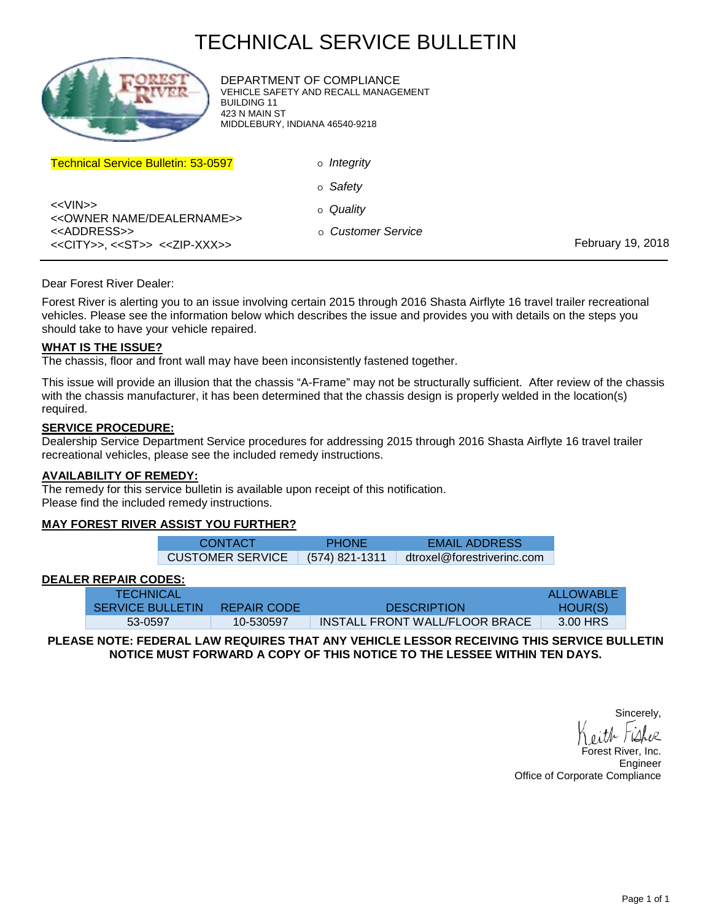# TECHNICAL SERVICE BULLETIN



DEPARTMENT OF COMPLIANCE VEHICLE SAFETY AND RECALL MANAGEMENT BUILDING 11 423 N MAIN ST MIDDLEBURY, INDIANA 46540-9218

| <b>Technical Service Bulletin: 53-0597</b>                                                         | o <i>Integrity</i> |                   |
|----------------------------------------------------------------------------------------------------|--------------------|-------------------|
|                                                                                                    | o Safety           |                   |
| < <vin>&gt;<br/>&lt;<owner dealername="" name="">&gt;</owner></vin>                                | o Quality          |                   |
| < <address>&gt;<br/>&lt;<city>&gt;, &lt;<st>&gt; &lt;<zip-xxx>&gt;</zip-xxx></st></city></address> | o Customer Service | February 19, 2018 |

#### Dear Forest River Dealer:

Forest River is alerting you to an issue involving certain 2015 through 2016 Shasta Airflyte 16 travel trailer recreational vehicles. Please see the information below which describes the issue and provides you with details on the steps you should take to have your vehicle repaired.

#### **WHAT IS THE ISSUE?**

The chassis, floor and front wall may have been inconsistently fastened together.

This issue will provide an illusion that the chassis "A-Frame" may not be structurally sufficient. After review of the chassis with the chassis manufacturer, it has been determined that the chassis design is properly welded in the location(s) required.

### **SERVICE PROCEDURE:**

Dealership Service Department Service procedures for addressing 2015 through 2016 Shasta Airflyte 16 travel trailer recreational vehicles, please see the included remedy instructions.

#### **AVAILABILITY OF REMEDY:**

The remedy for this service bulletin is available upon receipt of this notification. Please find the included remedy instructions.

#### **MAY FOREST RIVER ASSIST YOU FURTHER?**

| <b>CONTACT</b>                    | <b>PHONE</b> | <b>EMAIL ADDRESS</b>       |
|-----------------------------------|--------------|----------------------------|
| CUSTOMER SERVICE $(574)$ 821-1311 |              | dtroxel@forestriverinc.com |

#### **DEALER REPAIR CODES:**

| <b>TECHNICAL</b>        |             |                                | ALLOWABLE |
|-------------------------|-------------|--------------------------------|-----------|
| <b>SERVICE BULLETIN</b> | REPAIR CODE | <b>DESCRIPTION</b>             | HOUR(S)   |
| 53-0597                 | 10-530597   | INSTALL FRONT WALL/FLOOR BRACE | 3.00 HRS  |

#### **PLEASE NOTE: FEDERAL LAW REQUIRES THAT ANY VEHICLE LESSOR RECEIVING THIS SERVICE BULLETIN NOTICE MUST FORWARD A COPY OF THIS NOTICE TO THE LESSEE WITHIN TEN DAYS.**

Sincerely,

orest River, Inc. Engineer Office of Corporate Compliance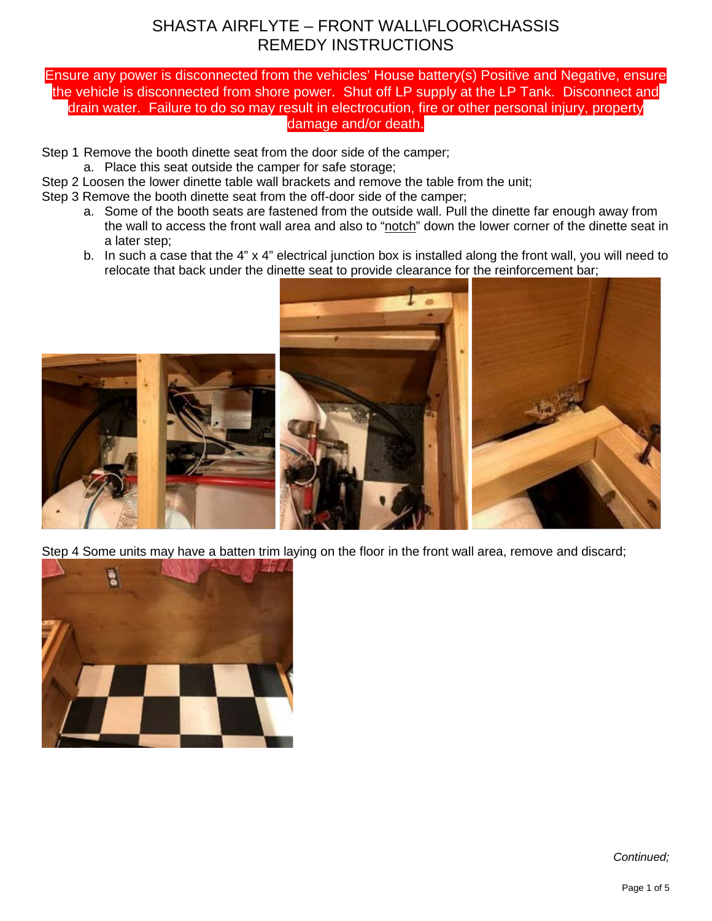### Ensure any power is disconnected from the vehicles' House battery(s) Positive and Negative, ensure the vehicle is disconnected from shore power. Shut off LP supply at the LP Tank. Disconnect and drain water. Failure to do so may result in electrocution, fire or other personal injury, property damage and/or death.

Step 1 Remove the booth dinette seat from the door side of the camper;

a. Place this seat outside the camper for safe storage;

- Step 2 Loosen the lower dinette table wall brackets and remove the table from the unit;
- Step 3 Remove the booth dinette seat from the off-door side of the camper;
	- a. Some of the booth seats are fastened from the outside wall. Pull the dinette far enough away from the wall to access the front wall area and also to "notch" down the lower corner of the dinette seat in a later step;
	- b. In such a case that the 4" x 4" electrical junction box is installed along the front wall, you will need to relocate that back under the dinette seat to provide clearance for the reinforcement bar;



Step 4 Some units may have a batten trim laying on the floor in the front wall area, remove and discard;

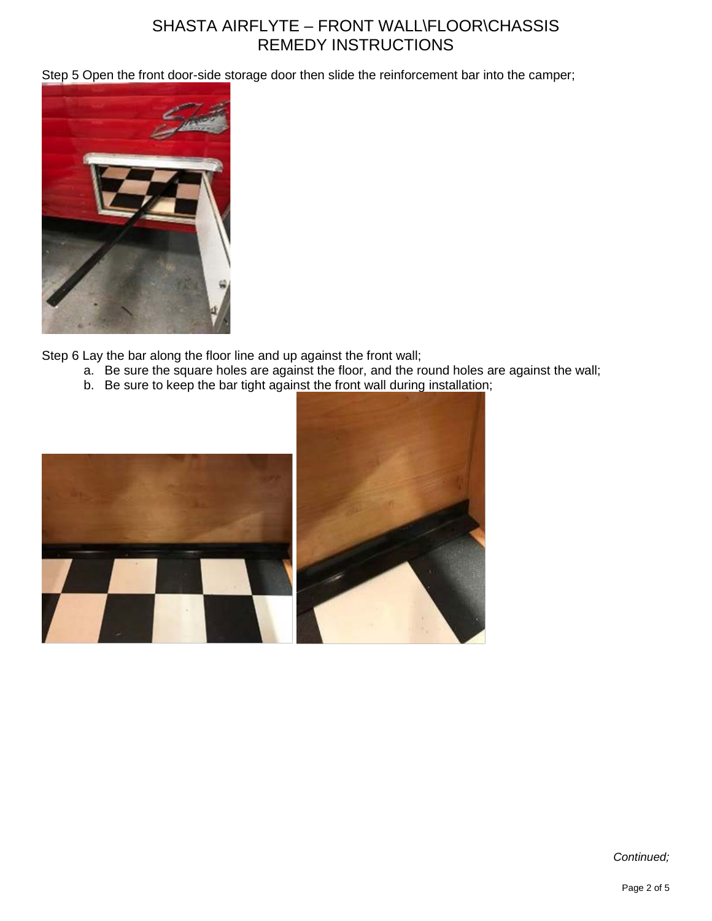Step 5 Open the front door-side storage door then slide the reinforcement bar into the camper;



Step 6 Lay the bar along the floor line and up against the front wall;

- a. Be sure the square holes are against the floor, and the round holes are against the wall;
- b. Be sure to keep the bar tight against the front wall during installation;

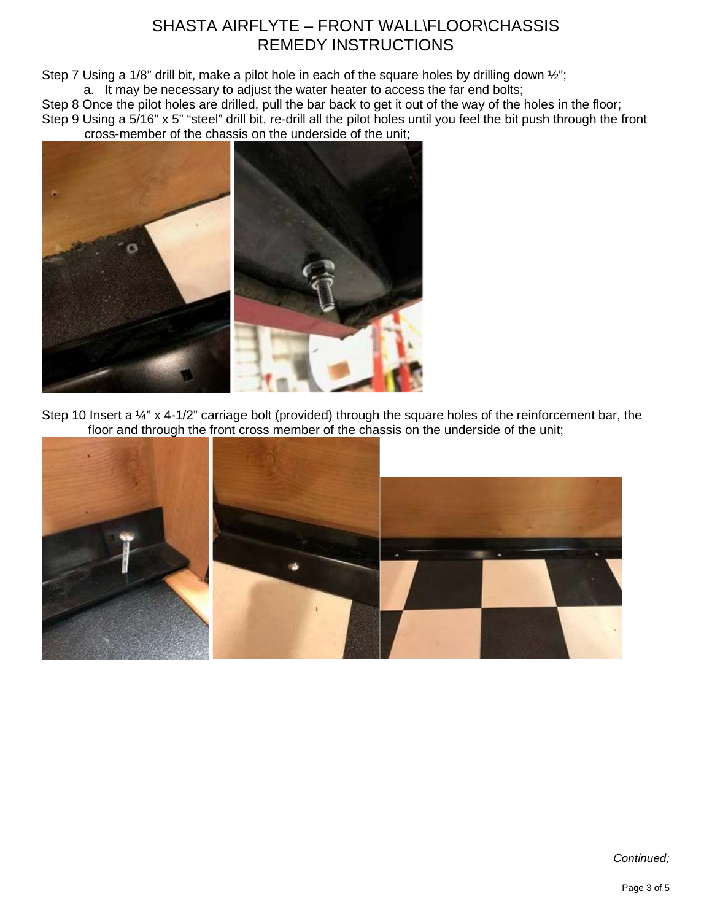Step 7 Using a 1/8" drill bit, make a pilot hole in each of the square holes by drilling down ½"; a. It may be necessary to adjust the water heater to access the far end bolts;

Step 8 Once the pilot holes are drilled, pull the bar back to get it out of the way of the holes in the floor; Step 9 Using a 5/16" x 5" "steel" drill bit, re-drill all the pilot holes until you feel the bit push through the front

cross-member of the chassis on the underside of the unit;



Step 10 Insert a 1/4" x 4-1/2" carriage bolt (provided) through the square holes of the reinforcement bar, the floor and through the front cross member of the chassis on the underside of the unit;

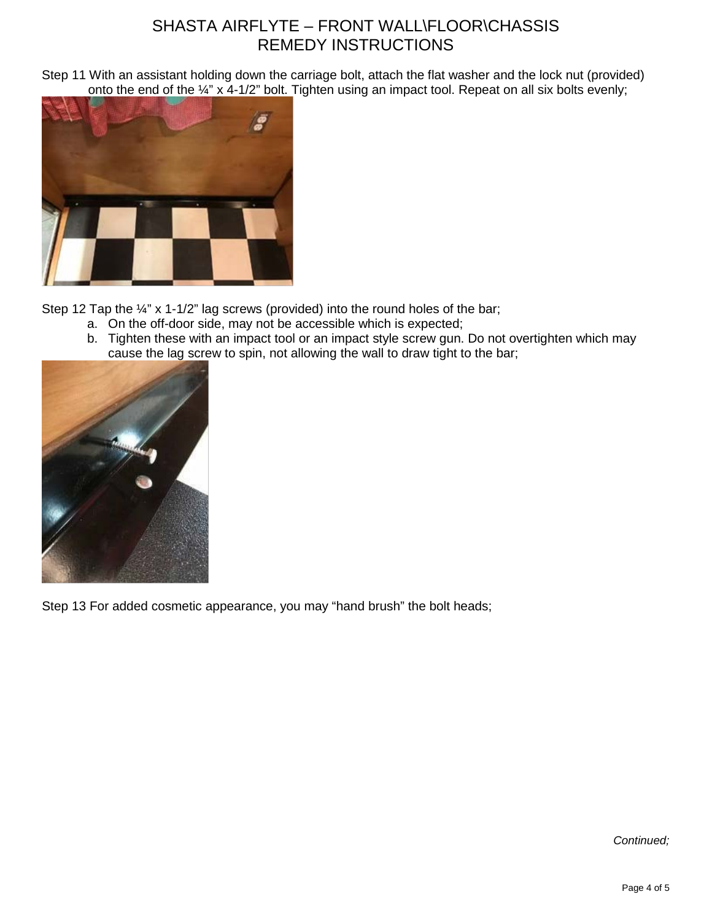Step 11 With an assistant holding down the carriage bolt, attach the flat washer and the lock nut (provided) onto the end of the 1/4" x 4-1/2" bolt. Tighten using an impact tool. Repeat on all six bolts evenly;



Step 12 Tap the ¼" x 1-1/2" lag screws (provided) into the round holes of the bar;

- a. On the off-door side, may not be accessible which is expected;
- b. Tighten these with an impact tool or an impact style screw gun. Do not overtighten which may cause the lag screw to spin, not allowing the wall to draw tight to the bar;



Step 13 For added cosmetic appearance, you may "hand brush" the bolt heads;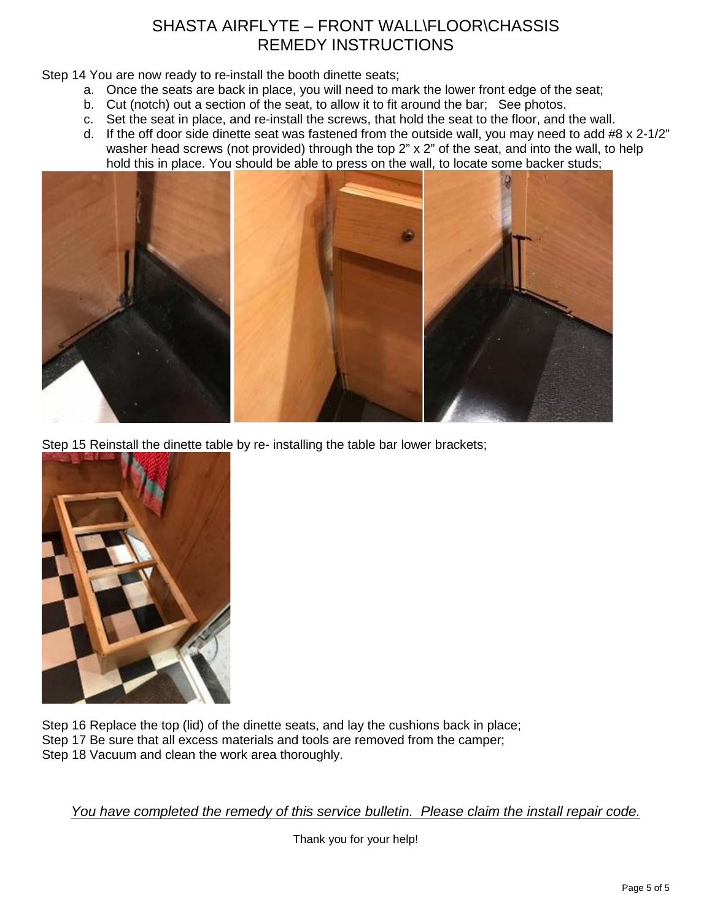Step 14 You are now ready to re-install the booth dinette seats;

- a. Once the seats are back in place, you will need to mark the lower front edge of the seat;
- b. Cut (notch) out a section of the seat, to allow it to fit around the bar; See photos.
- c. Set the seat in place, and re-install the screws, that hold the seat to the floor, and the wall.
- d. If the off door side dinette seat was fastened from the outside wall, you may need to add #8 x 2-1/2" washer head screws (not provided) through the top 2" x 2" of the seat, and into the wall, to help hold this in place. You should be able to press on the wall, to locate some backer studs;



Step 15 Reinstall the dinette table by re- installing the table bar lower brackets;



Step 16 Replace the top (lid) of the dinette seats, and lay the cushions back in place; Step 17 Be sure that all excess materials and tools are removed from the camper; Step 18 Vacuum and clean the work area thoroughly.

*You have completed the remedy of this service bulletin. Please claim the install repair code.*

Thank you for your help!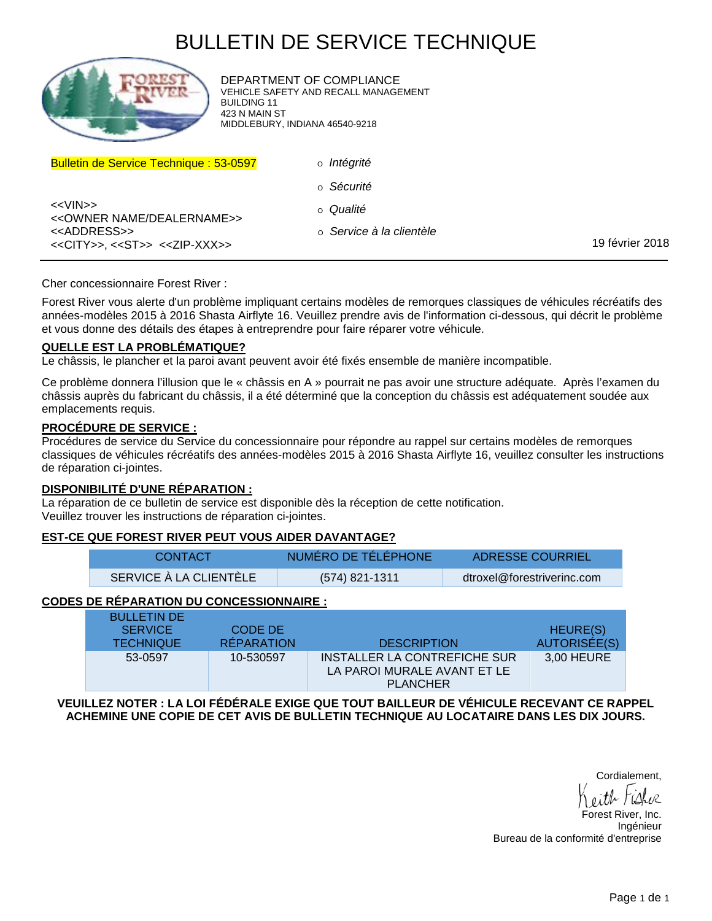# BULLETIN DE SERVICE TECHNIQUE



DEPARTMENT OF COMPLIANCE VEHICLE SAFETY AND RECALL MANAGEMENT BUILDING 11 423 N MAIN ST MIDDLEBURY, INDIANA 46540-9218

| <b>Bulletin de Service Technique: 53-0597</b>                                                      | o <i>Intégrité</i>       |                 |
|----------------------------------------------------------------------------------------------------|--------------------------|-----------------|
|                                                                                                    | o Sécurité               |                 |
| < <vin>&gt;<br/>&lt;&lt; OWNER NAME/DEALERNAME&gt;&gt;</vin>                                       | o Qualité                |                 |
| < <address>&gt;<br/>&lt;<city>&gt;, &lt;<st>&gt; &lt;<zip-xxx>&gt;</zip-xxx></st></city></address> | o Service à la clientèle | 19 février 2018 |

Cher concessionnaire Forest River :

Forest River vous alerte d'un problème impliquant certains modèles de remorques classiques de véhicules récréatifs des années-modèles 2015 à 2016 Shasta Airflyte 16. Veuillez prendre avis de l'information ci-dessous, qui décrit le problème et vous donne des détails des étapes à entreprendre pour faire réparer votre véhicule.

#### **QUELLE EST LA PROBLÉMATIQUE?**

Le châssis, le plancher et la paroi avant peuvent avoir été fixés ensemble de manière incompatible.

Ce problème donnera l'illusion que le « châssis en A » pourrait ne pas avoir une structure adéquate. Après l'examen du châssis auprès du fabricant du châssis, il a été déterminé que la conception du châssis est adéquatement soudée aux emplacements requis.

#### **PROCÉDURE DE SERVICE :**

Procédures de service du Service du concessionnaire pour répondre au rappel sur certains modèles de remorques classiques de véhicules récréatifs des années-modèles 2015 à 2016 Shasta Airflyte 16, veuillez consulter les instructions de réparation ci-jointes.

#### **DISPONIBILITÉ D'UNE RÉPARATION :**

La réparation de ce bulletin de service est disponible dès la réception de cette notification. Veuillez trouver les instructions de réparation ci-jointes.

#### **EST-CE QUE FOREST RIVER PEUT VOUS AIDER DAVANTAGE?**

| <b>CONTACT</b>         | NUMÉRO DE TÉLÉPHONE | ADRESSE COURRIEL           |
|------------------------|---------------------|----------------------------|
| SERVICE À LA CLIENTÈLE | (574) 821-1311      | dtroxel@forestriverinc.com |

### **CODES DE RÉPARATION DU CONCESSIONNAIRE :**

| <b>BULLETIN DE</b><br><b>SERVICE</b><br><b>TECHNIQUE</b> | CODE DE<br><b>RÉPARATION</b> | <b>DESCRIPTION</b>                                                             | HEURE(S)<br>AUTORISÉE(S) |
|----------------------------------------------------------|------------------------------|--------------------------------------------------------------------------------|--------------------------|
|                                                          |                              |                                                                                |                          |
| 53-0597                                                  | 10-530597                    | INSTALLER LA CONTREFICHE SUR<br>LA PAROI MURALE AVANT ET LE<br><b>PLANCHER</b> | 3,00 HEURE               |

**VEUILLEZ NOTER : LA LOI FÉDÉRALE EXIGE QUE TOUT BAILLEUR DE VÉHICULE RECEVANT CE RAPPEL ACHEMINE UNE COPIE DE CET AVIS DE BULLETIN TECHNIQUE AU LOCATAIRE DANS LES DIX JOURS.**

Cordialement,

Forest River, Inc. Ingénieur Bureau de la conformité d'entreprise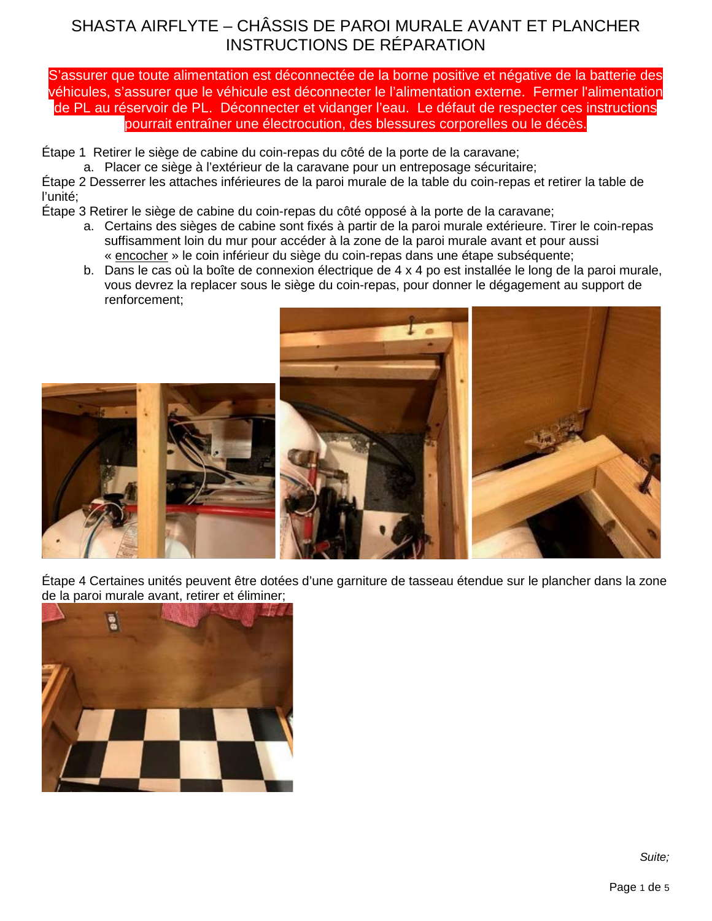S'assurer que toute alimentation est déconnectée de la borne positive et négative de la batterie des véhicules, s'assurer que le véhicule est déconnecter le l'alimentation externe. Fermer l'alimentation de PL au réservoir de PL. Déconnecter et vidanger l'eau. Le défaut de respecter ces instructions pourrait entraîner une électrocution, des blessures corporelles ou le décès.

Étape 1 Retirer le siège de cabine du coin-repas du côté de la porte de la caravane;

a. Placer ce siège à l'extérieur de la caravane pour un entreposage sécuritaire;

Étape 2 Desserrer les attaches inférieures de la paroi murale de la table du coin-repas et retirer la table de l'unité;

Étape 3 Retirer le siège de cabine du coin-repas du côté opposé à la porte de la caravane;

- a. Certains des sièges de cabine sont fixés à partir de la paroi murale extérieure. Tirer le coin-repas suffisamment loin du mur pour accéder à la zone de la paroi murale avant et pour aussi « encocher » le coin inférieur du siège du coin-repas dans une étape subséquente;
- b. Dans le cas où la boîte de connexion électrique de 4 x 4 po est installée le long de la paroi murale, vous devrez la replacer sous le siège du coin-repas, pour donner le dégagement au support de renforcement;



Étape 4 Certaines unités peuvent être dotées d'une garniture de tasseau étendue sur le plancher dans la zone de la paroi murale avant, retirer et éliminer;

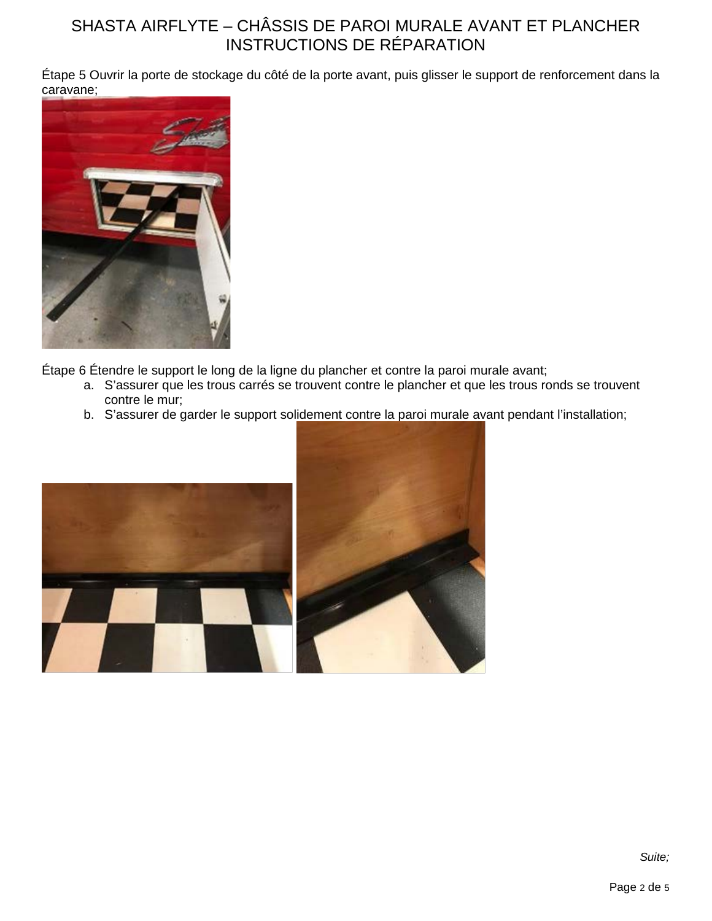Étape 5 Ouvrir la porte de stockage du côté de la porte avant, puis glisser le support de renforcement dans la caravane;



Étape 6 Étendre le support le long de la ligne du plancher et contre la paroi murale avant;

- a. S'assurer que les trous carrés se trouvent contre le plancher et que les trous ronds se trouvent contre le mur;
- b. S'assurer de garder le support solidement contre la paroi murale avant pendant l'installation;

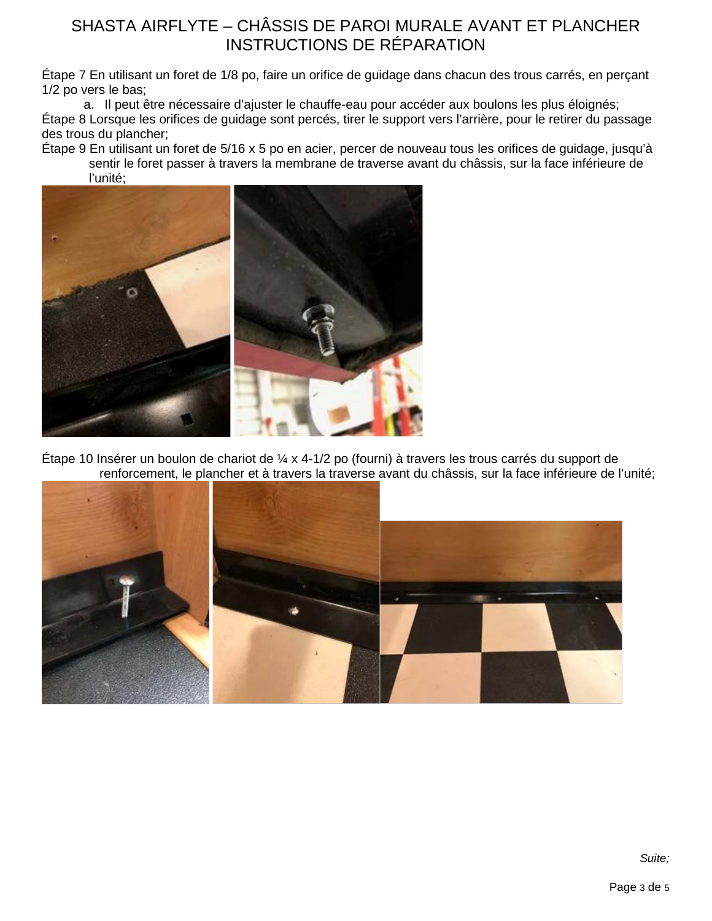Étape 7 En utilisant un foret de 1/8 po, faire un orifice de guidage dans chacun des trous carrés, en perçant 1/2 po vers le bas;

a. Il peut être nécessaire d'ajuster le chauffe-eau pour accéder aux boulons les plus éloignés; Étape 8 Lorsque les orifices de guidage sont percés, tirer le support vers l'arrière, pour le retirer du passage des trous du plancher;

Étape 9 En utilisant un foret de 5/16 x 5 po en acier, percer de nouveau tous les orifices de guidage, jusqu'à sentir le foret passer à travers la membrane de traverse avant du châssis, sur la face inférieure de l'unité;



Étape 10 Insérer un boulon de chariot de ¼ x 4-1/2 po (fourni) à travers les trous carrés du support de renforcement, le plancher et à travers la traverse avant du châssis, sur la face inférieure de l'unité;

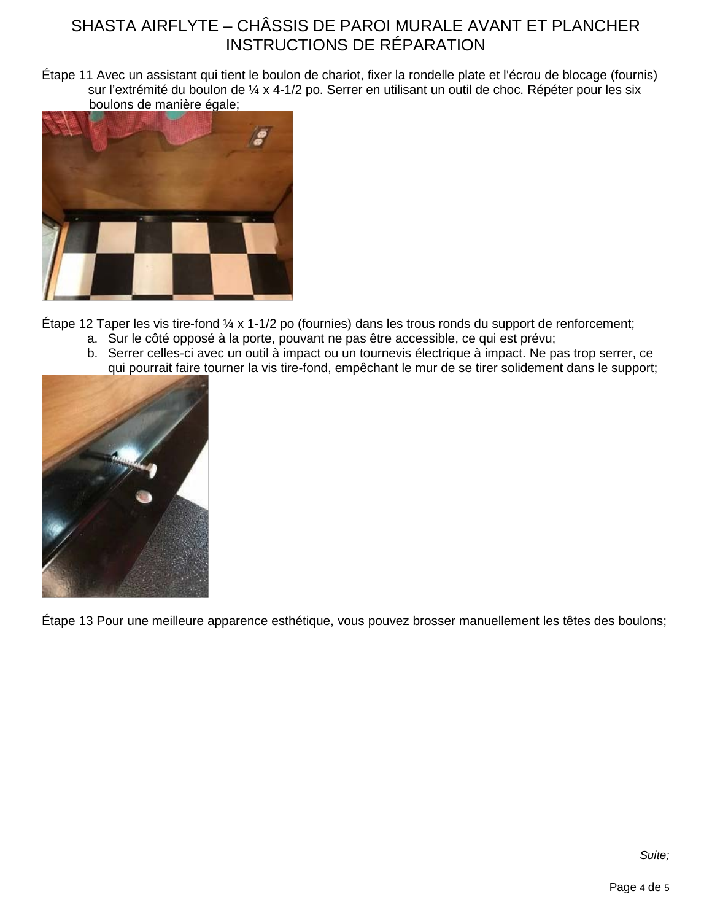Étape 11 Avec un assistant qui tient le boulon de chariot, fixer la rondelle plate et l'écrou de blocage (fournis) sur l'extrémité du boulon de ¼ x 4-1/2 po. Serrer en utilisant un outil de choc. Répéter pour les six boulons de manière égale;



Étape 12 Taper les vis tire-fond ¼ x 1-1/2 po (fournies) dans les trous ronds du support de renforcement;

- a. Sur le côté opposé à la porte, pouvant ne pas être accessible, ce qui est prévu;
- b. Serrer celles-ci avec un outil à impact ou un tournevis électrique à impact. Ne pas trop serrer, ce qui pourrait faire tourner la vis tire-fond, empêchant le mur de se tirer solidement dans le support;



Étape 13 Pour une meilleure apparence esthétique, vous pouvez brosser manuellement les têtes des boulons;